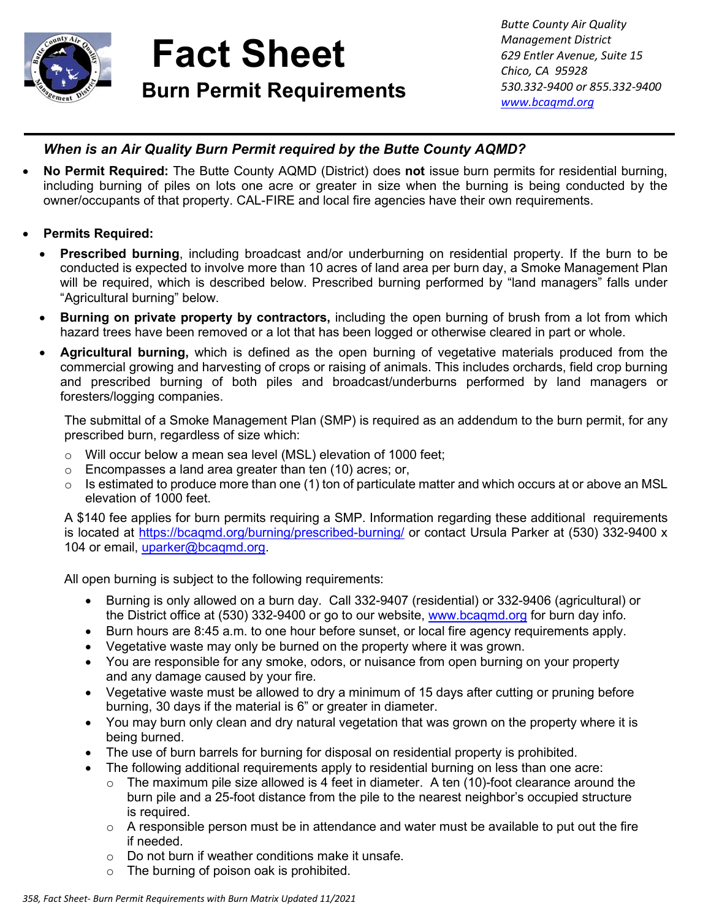

## **Fact Sheet Burn Permit Requirements Burn Permit Requirements** *b s*<sup>330.332-9400 or 8</sup>

*Butte County Air Quality Management District 629 Entler Avenue, Suite 15 Chico, CA 95928 530.332-9400 or 855.332-9400*

## *When is an Air Quality Burn Permit required by the Butte County AQMD?*

- **No Permit Required:** The Butte County AQMD (District) does **not** issue burn permits for residential burning, including burning of piles on lots one acre or greater in size when the burning is being conducted by the owner/occupants of that property. CAL-FIRE and local fire agencies have their own requirements.
- **Permits Required:**
	- **Prescribed burning**, including broadcast and/or underburning on residential property. If the burn to be conducted is expected to involve more than 10 acres of land area per burn day, a Smoke Management Plan will be required, which is described below. Prescribed burning performed by "land managers" falls under "Agricultural burning" below.
	- **Burning on private property by contractors,** including the open burning of brush from a lot from which hazard trees have been removed or a lot that has been logged or otherwise cleared in part or whole.
	- **Agricultural burning,** which is defined as the open burning of vegetative materials produced from the commercial growing and harvesting of crops or raising of animals. This includes orchards, field crop burning and prescribed burning of both piles and broadcast/underburns performed by land managers or foresters/logging companies.

The submittal of a Smoke Management Plan (SMP) is required as an addendum to the burn permit, for any prescribed burn, regardless of size which:

- o Will occur below a mean sea level (MSL) elevation of 1000 feet;
- o Encompasses a land area greater than ten (10) acres; or,
- $\circ$  Is estimated to produce more than one (1) ton of particulate matter and which occurs at or above an MSL elevation of 1000 feet.

A \$140 fee applies for burn permits requiring a SMP. Information regarding these additional requirements is located at<https://bcaqmd.org/burning/prescribed-burning/> or contact Ursula Parker at (530) 332-9400 x 104 or email [uparker@bcaqmd.org.](mailto:uparker@bcaqmd.org)

All open burning is subject to the following requirements:

- Burning is only allowed on a burn day. Call 332-9407 (residential) or 332-9406 (agricultural) or the District office at (530) 332-9400 or go to our website, [www.bcaqmd.org](http://www.bcaqmd.org/) for burn day info.
- Burn hours are 8:45 a.m. to one hour before sunset, or local fire agency requirements apply.
- Vegetative waste may only be burned on the property where it was grown.
- You are responsible for any smoke, odors, or nuisance from open burning on your property and any damage caused by your fire.
- Vegetative waste must be allowed to dry a minimum of 15 days after cutting or pruning before burning, 30 days if the material is 6" or greater in diameter.
- You may burn only clean and dry natural vegetation that was grown on the property where it is being burned.
- The use of burn barrels for burning for disposal on residential property is prohibited.
- The following additional requirements apply to residential burning on less than one acre:
	- $\circ$  The maximum pile size allowed is 4 feet in diameter. A ten (10)-foot clearance around the burn pile and a 25-foot distance from the pile to the nearest neighbor's occupied structure is required.
	- $\circ$  A responsible person must be in attendance and water must be available to put out the fire if needed.
	- o Do not burn if weather conditions make it unsafe.
	- $\circ$  The burning of poison oak is prohibited.